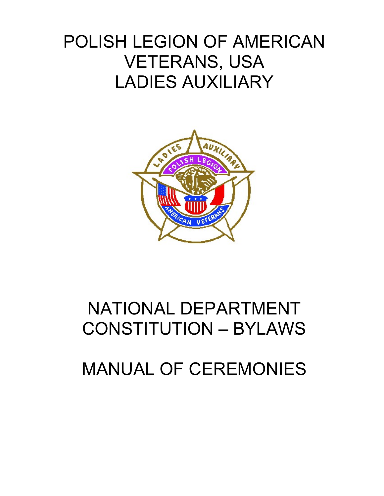# POLISH LEGION OF AMERICAN VETERANS, USA LADIES AUXILIARY



# NATIONAL DEPARTMENT CONSTITUTION – BYLAWS

## MANUAL OF CEREMONIES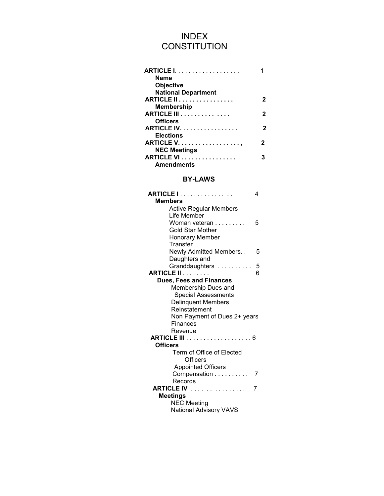## INDEX **CONSTITUTION**

| <b>Name</b>         |                            |
|---------------------|----------------------------|
| <b>Objective</b>    |                            |
|                     | <b>National Department</b> |
|                     | <b>ARTICLE II</b><br>2     |
| Membership          |                            |
|                     | <b>ARTICLE III</b>         |
| <b>Officers</b>     |                            |
|                     | ARTICLE IV.                |
| <b>Elections</b>    |                            |
|                     | 2                          |
| <b>NEC Meetings</b> |                            |
|                     | <b>ARTICLE VI</b> .<br>3   |
| <b>Amendments</b>   |                            |

#### BY-LAWS

| <b>ARTICLE I</b>               | 4 |
|--------------------------------|---|
| <b>Members</b>                 |   |
| <b>Active Regular Members</b>  |   |
| Life Member                    |   |
| Woman veteran                  | 5 |
| <b>Gold Star Mother</b>        |   |
| <b>Honorary Member</b>         |   |
| Transfer                       |   |
| Newly Admitted Members         | 5 |
| Daughters and                  |   |
| Granddaughters                 | 5 |
| <b>ARTICLE II</b>              | 6 |
| <b>Dues, Fees and Finances</b> |   |
| Membership Dues and            |   |
| <b>Special Assessments</b>     |   |
| <b>Delinquent Members</b>      |   |
| Reinstatement                  |   |
| Non Payment of Dues 2+ years   |   |
| <b>Finances</b>                |   |
| Revenue                        |   |
|                                |   |
| <b>Officers</b>                |   |
| Term of Office of Elected      |   |
| Officers                       |   |
| <b>Appointed Officers</b>      |   |
| Compensation                   | 7 |
| Records                        |   |
| <b>ARTICLE IV</b>              | 7 |
| <b>Meetings</b>                |   |
| <b>NEC Meeting</b>             |   |
| <b>National Advisory VAVS</b>  |   |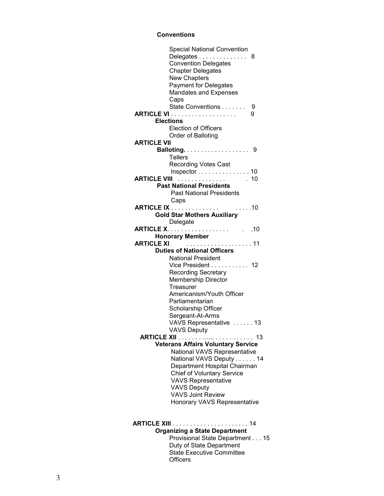#### Conventions

|                    | <b>Special National Convention</b>         |      |
|--------------------|--------------------------------------------|------|
|                    | Delegates                                  | 8    |
|                    | <b>Convention Delegates</b>                |      |
|                    | <b>Chapter Delegates</b>                   |      |
|                    | <b>New Chapters</b>                        |      |
|                    | <b>Payment for Delegates</b>               |      |
|                    |                                            |      |
|                    | <b>Mandates and Expenses</b>               |      |
|                    | Caps                                       |      |
|                    | State Conventions                          | 9    |
|                    |                                            | 9    |
|                    | <b>Elections</b>                           |      |
|                    | <b>Election of Officers</b>                |      |
|                    | Order of Balloting                         |      |
| <b>ARTICLE VII</b> |                                            |      |
|                    |                                            |      |
|                    | <b>Tellers</b>                             |      |
|                    | <b>Recording Votes Cast</b>                |      |
|                    |                                            |      |
|                    | Inspector $\ldots \ldots \ldots \ldots 10$ |      |
|                    | <b>ARTICLE VIII</b>                        | . 10 |
|                    | <b>Past National Presidents</b>            |      |
|                    | <b>Past National Presidents</b>            |      |
|                    | Caps                                       |      |
|                    |                                            |      |
|                    | <b>Gold Star Mothers Auxiliary</b>         |      |
|                    | Delegate                                   |      |
|                    |                                            |      |
|                    | <b>Honorary Member</b>                     |      |
| <b>ARTICLE XI</b>  | . 11                                       |      |
|                    | <b>Duties of National Officers</b>         |      |
|                    | <b>National President</b>                  |      |
|                    |                                            |      |
|                    | Vice President 12                          |      |
|                    | Recording Secretary                        |      |
|                    | <b>Membership Director</b>                 |      |
|                    | Treasurer                                  |      |
|                    | Americanism/Youth Officer                  |      |
|                    | Parliamentarian                            |      |
|                    | Scholarship Officer                        |      |
|                    | Sergeant-At-Arms                           |      |
|                    | VAVS Representative  13                    |      |
|                    | <b>VAVS Deputy</b>                         |      |
| <b>ARTICLE XII</b> |                                            | -13  |
|                    | <b>Veterans Affairs Voluntary Service</b>  |      |
|                    |                                            |      |
|                    | National VAVS Representative               |      |
|                    | National VAVS Deputy 14                    |      |
|                    | Department Hospital Chairman               |      |
|                    | <b>Chief of Voluntary Service</b>          |      |
|                    | <b>VAVS Representative</b>                 |      |
|                    | <b>VAVS Deputy</b>                         |      |
|                    | <b>VAVS Joint Review</b>                   |      |
|                    | Honorary VAVS Representative               |      |
|                    |                                            |      |
|                    |                                            |      |
|                    | <b>ARTICLE XIII</b><br>. 14                |      |
|                    | <b>Organizing a State Department</b>       |      |
|                    |                                            |      |
|                    | Provisional State Department 15            |      |

 Duty of State Department **State Executive Committee Officers**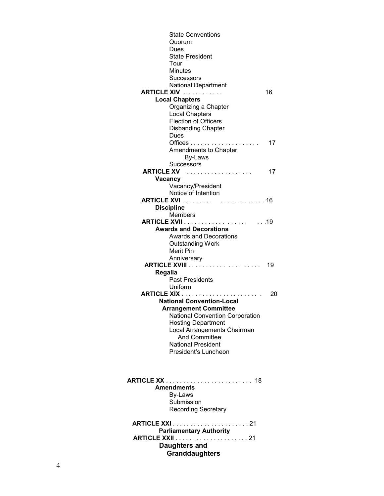| <b>State Conventions</b><br>Quorum<br>Dues<br><b>State President</b><br>Tour<br><b>Minutes</b><br><b>Successors</b><br>National Department<br><b>ARTICLE XIV </b><br><b>Local Chapters</b><br>Organizing a Chapter<br><b>Local Chapters</b><br><b>Election of Officers</b><br><b>Disbanding Chapter</b><br>Dues | 16<br>17 |
|-----------------------------------------------------------------------------------------------------------------------------------------------------------------------------------------------------------------------------------------------------------------------------------------------------------------|----------|
| Amendments to Chapter<br>By-Laws                                                                                                                                                                                                                                                                                |          |
| <b>Successors</b><br>ARTICLE XV                                                                                                                                                                                                                                                                                 | 17       |
| Vacancy                                                                                                                                                                                                                                                                                                         |          |
| Vacancy/President<br>Notice of Intention                                                                                                                                                                                                                                                                        |          |
| <b>Discipline</b>                                                                                                                                                                                                                                                                                               |          |
| <b>Members</b>                                                                                                                                                                                                                                                                                                  |          |
| <b>Awards and Decorations</b>                                                                                                                                                                                                                                                                                   |          |
| Awards and Decorations<br><b>Outstanding Work</b><br>Merit Pin<br>Anniversary                                                                                                                                                                                                                                   |          |
|                                                                                                                                                                                                                                                                                                                 | 19       |
| Regalia<br><b>Past Presidents</b>                                                                                                                                                                                                                                                                               |          |
| Uniform                                                                                                                                                                                                                                                                                                         |          |
|                                                                                                                                                                                                                                                                                                                 | 20       |
| <b>National Convention-Local</b>                                                                                                                                                                                                                                                                                |          |
| <b>Arrangement Committee</b>                                                                                                                                                                                                                                                                                    |          |
| <b>National Convention Corporation</b><br><b>Hosting Department</b>                                                                                                                                                                                                                                             |          |
| Local Arrangements Chairman                                                                                                                                                                                                                                                                                     |          |
| <b>And Committee</b>                                                                                                                                                                                                                                                                                            |          |
| <b>National President</b>                                                                                                                                                                                                                                                                                       |          |
| President's Luncheon                                                                                                                                                                                                                                                                                            |          |
| <b>Amendments</b><br>By-Laws<br>Submission<br><b>Recording Secretary</b>                                                                                                                                                                                                                                        |          |
|                                                                                                                                                                                                                                                                                                                 |          |
| <b>Parliamentary Authority</b><br><b>Daughters and</b><br><b>Granddaughters</b>                                                                                                                                                                                                                                 |          |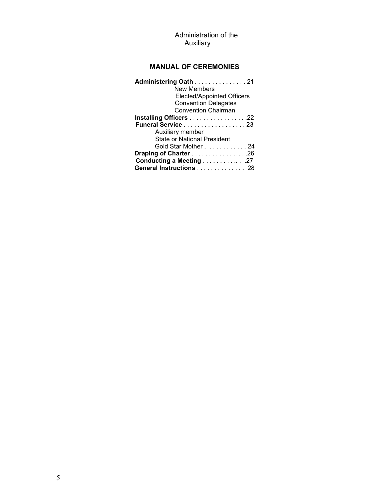#### Administration of the Auxiliary

### MANUAL OF CEREMONIES

| Administering Oath 21              |
|------------------------------------|
| <b>New Members</b>                 |
| <b>Elected/Appointed Officers</b>  |
| <b>Convention Delegates</b>        |
| <b>Convention Chairman</b>         |
| Installing Officers 22             |
| Funeral Service 23                 |
| Auxiliary member                   |
| <b>State or National President</b> |
| Gold Star Mother 24                |
| Draping of Charter 26              |
| Conducting a Meeting 27            |
| General Instructions 28            |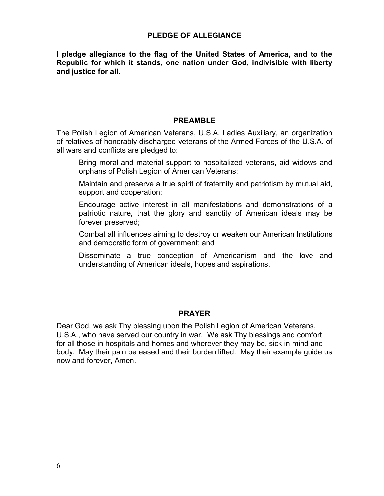#### PLEDGE OF ALLEGIANCE

I pledge allegiance to the flag of the United States of America, and to the Republic for which it stands, one nation under God, indivisible with liberty and justice for all.

#### PREAMBLE

The Polish Legion of American Veterans, U.S.A. Ladies Auxiliary, an organization of relatives of honorably discharged veterans of the Armed Forces of the U.S.A. of all wars and conflicts are pledged to:

- Bring moral and material support to hospitalized veterans, aid widows and orphans of Polish Legion of American Veterans;
- Maintain and preserve a true spirit of fraternity and patriotism by mutual aid, support and cooperation;
- Encourage active interest in all manifestations and demonstrations of a patriotic nature, that the glory and sanctity of American ideals may be forever preserved;
- Combat all influences aiming to destroy or weaken our American Institutions and democratic form of government; and
- Disseminate a true conception of Americanism and the love and understanding of American ideals, hopes and aspirations.

#### PRAYER

Dear God, we ask Thy blessing upon the Polish Legion of American Veterans, U.S.A., who have served our country in war. We ask Thy blessings and comfort for all those in hospitals and homes and wherever they may be, sick in mind and body. May their pain be eased and their burden lifted. May their example guide us now and forever, Amen.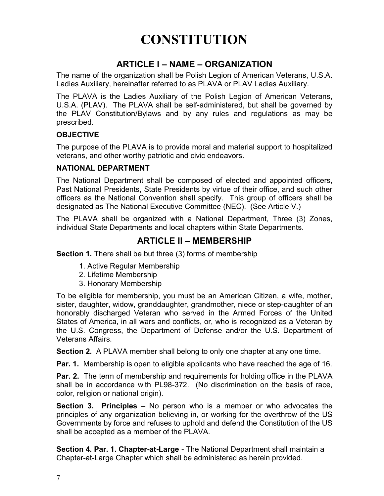## **CONSTITUTION**

## ARTICLE I – NAME – ORGANIZATION

The name of the organization shall be Polish Legion of American Veterans, U.S.A. Ladies Auxiliary, hereinafter referred to as PLAVA or PLAV Ladies Auxiliary.

The PLAVA is the Ladies Auxiliary of the Polish Legion of American Veterans, U.S.A. (PLAV). The PLAVA shall be self-administered, but shall be governed by the PLAV Constitution/Bylaws and by any rules and regulations as may be prescribed.

#### **OBJECTIVE**

The purpose of the PLAVA is to provide moral and material support to hospitalized veterans, and other worthy patriotic and civic endeavors.

#### NATIONAL DEPARTMENT

The National Department shall be composed of elected and appointed officers, Past National Presidents, State Presidents by virtue of their office, and such other officers as the National Convention shall specify. This group of officers shall be designated as The National Executive Committee (NEC). (See Article V.)

The PLAVA shall be organized with a National Department, Three (3) Zones, individual State Departments and local chapters within State Departments.

## ARTICLE II – MEMBERSHIP

**Section 1.** There shall be but three (3) forms of membership

- 1. Active Regular Membership
- 2. Lifetime Membership
- 3. Honorary Membership

To be eligible for membership, you must be an American Citizen, a wife, mother, sister, daughter, widow, granddaughter, grandmother, niece or step-daughter of an honorably discharged Veteran who served in the Armed Forces of the United States of America, in all wars and conflicts, or, who is recognized as a Veteran by the U.S. Congress, the Department of Defense and/or the U.S. Department of Veterans Affairs.

Section 2. A PLAVA member shall belong to only one chapter at any one time.

**Par. 1.** Membership is open to eligible applicants who have reached the age of 16.

**Par. 2.** The term of membership and requirements for holding office in the PLAVA shall be in accordance with PL98-372. (No discrimination on the basis of race, color, religion or national origin).

Section 3. Principles – No person who is a member or who advocates the principles of any organization believing in, or working for the overthrow of the US Governments by force and refuses to uphold and defend the Constitution of the US shall be accepted as a member of the PLAVA.

Section 4. Par. 1. Chapter-at-Large - The National Department shall maintain a Chapter-at-Large Chapter which shall be administered as herein provided.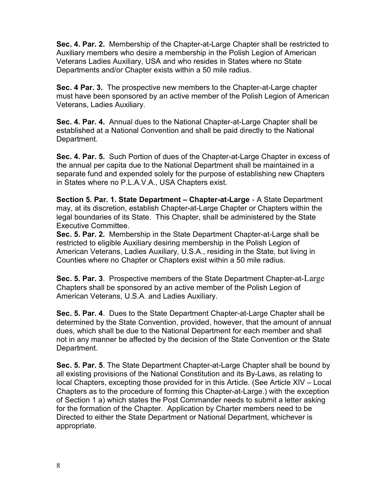Sec. 4. Par. 2. Membership of the Chapter-at-Large Chapter shall be restricted to Auxiliary members who desire a membership in the Polish Legion of American Veterans Ladies Auxiliary, USA and who resides in States where no State Departments and/or Chapter exists within a 50 mile radius.

Sec. 4 Par. 3. The prospective new members to the Chapter-at-Large chapter must have been sponsored by an active member of the Polish Legion of American Veterans, Ladies Auxiliary.

Sec. 4. Par. 4. Annual dues to the National Chapter-at-Large Chapter shall be established at a National Convention and shall be paid directly to the National Department.

Sec. 4. Par. 5. Such Portion of dues of the Chapter-at-Large Chapter in excess of the annual per capita due to the National Department shall be maintained in a separate fund and expended solely for the purpose of establishing new Chapters in States where no P.L.A.V.A., USA Chapters exist.

Section 5. Par. 1. State Department – Chapter-at-Large - A State Department may, at its discretion, establish Chapter-at-Large Chapter or Chapters within the legal boundaries of its State. This Chapter, shall be administered by the State Executive Committee.

Sec. 5. Par. 2. Membership in the State Department Chapter-at-Large shall be restricted to eligible Auxiliary desiring membership in the Polish Legion of American Veterans, Ladies Auxiliary, U.S.A., residing in the State, but living in Counties where no Chapter or Chapters exist within a 50 mile radius.

Sec. 5. Par. 3. Prospective members of the State Department Chapter-at-Large Chapters shall be sponsored by an active member of the Polish Legion of American Veterans, U.S.A. and Ladies Auxiliary.

Sec. 5. Par. 4. Dues to the State Department Chapter-at-Large Chapter shall be determined by the State Convention, provided, however, that the amount of annual dues, which shall be due to the National Department for each member and shall not in any manner be affected by the decision of the State Convention or the State Department.

Sec. 5. Par. 5. The State Department Chapter-at-Large Chapter shall be bound by all existing provisions of the National Constitution and its By-Laws, as relating to local Chapters, excepting those provided for in this Article. (See Article XIV – Local Chapters as to the procedure of forming this Chapter-at-Large.) with the exception of Section 1 a) which states the Post Commander needs to submit a letter asking for the formation of the Chapter. Application by Charter members need to be Directed to either the State Department or National Department, whichever is appropriate.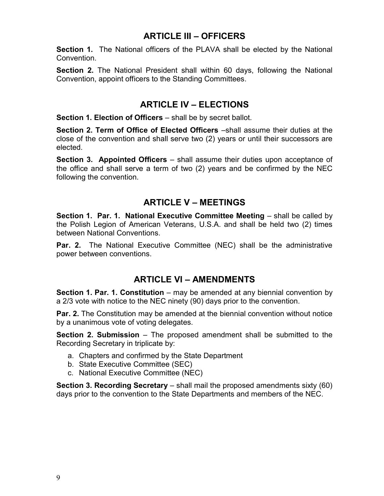## ARTICLE III – OFFICERS

Section 1. The National officers of the PLAVA shall be elected by the National Convention.

Section 2. The National President shall within 60 days, following the National Convention, appoint officers to the Standing Committees.

## ARTICLE IV – ELECTIONS

Section 1. Election of Officers – shall be by secret ballot.

Section 2. Term of Office of Elected Officers –shall assume their duties at the close of the convention and shall serve two (2) years or until their successors are elected.

Section 3. Appointed Officers – shall assume their duties upon acceptance of the office and shall serve a term of two (2) years and be confirmed by the NEC following the convention.

## ARTICLE V – MEETINGS

Section 1. Par. 1. National Executive Committee Meeting – shall be called by the Polish Legion of American Veterans, U.S.A. and shall be held two (2) times between National Conventions.

**Par. 2.** The National Executive Committee (NEC) shall be the administrative power between conventions.

## ARTICLE VI – AMENDMENTS

**Section 1. Par. 1. Constitution** – may be amended at any biennial convention by a 2/3 vote with notice to the NEC ninety (90) days prior to the convention.

**Par. 2.** The Constitution may be amended at the biennial convention without notice by a unanimous vote of voting delegates.

Section 2. Submission – The proposed amendment shall be submitted to the Recording Secretary in triplicate by:

- a. Chapters and confirmed by the State Department
- b. State Executive Committee (SEC)
- c. National Executive Committee (NEC)

Section 3. Recording Secretary – shall mail the proposed amendments sixty (60) days prior to the convention to the State Departments and members of the NEC.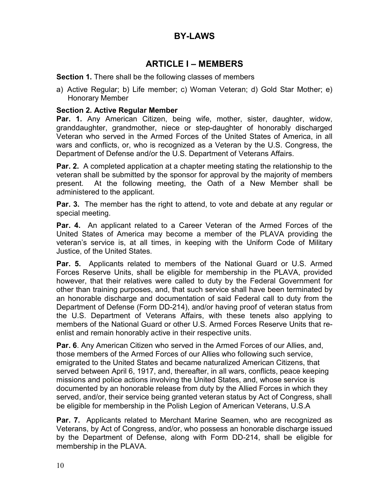## BY-LAWS

## ARTICLE I – MEMBERS

#### Section 1. There shall be the following classes of members

a) Active Regular; b) Life member; c) Woman Veteran; d) Gold Star Mother; e) Honorary Member

#### Section 2. Active Regular Member

Par. 1. Any American Citizen, being wife, mother, sister, daughter, widow, granddaughter, grandmother, niece or step-daughter of honorably discharged Veteran who served in the Armed Forces of the United States of America, in all wars and conflicts, or, who is recognized as a Veteran by the U.S. Congress, the Department of Defense and/or the U.S. Department of Veterans Affairs.

**Par. 2.** A completed application at a chapter meeting stating the relationship to the veteran shall be submitted by the sponsor for approval by the majority of members present. At the following meeting, the Oath of a New Member shall be administered to the applicant.

**Par. 3.** The member has the right to attend, to vote and debate at any regular or special meeting.

**Par. 4.** An applicant related to a Career Veteran of the Armed Forces of the United States of America may become a member of the PLAVA providing the veteran's service is, at all times, in keeping with the Uniform Code of Military Justice, of the United States.

Par. 5. Applicants related to members of the National Guard or U.S. Armed Forces Reserve Units, shall be eligible for membership in the PLAVA, provided however, that their relatives were called to duty by the Federal Government for other than training purposes, and, that such service shall have been terminated by an honorable discharge and documentation of said Federal call to duty from the Department of Defense (Form DD-214), and/or having proof of veteran status from the U.S. Department of Veterans Affairs, with these tenets also applying to members of the National Guard or other U.S. Armed Forces Reserve Units that reenlist and remain honorably active in their respective units.

Par. 6. Any American Citizen who served in the Armed Forces of our Allies, and, those members of the Armed Forces of our Allies who following such service, emigrated to the United States and became naturalized American Citizens, that served between April 6, 1917, and, thereafter, in all wars, conflicts, peace keeping missions and police actions involving the United States, and, whose service is documented by an honorable release from duty by the Allied Forces in which they served, and/or, their service being granted veteran status by Act of Congress, shall be eligible for membership in the Polish Legion of American Veterans, U.S.A

**Par. 7.** Applicants related to Merchant Marine Seamen, who are recognized as Veterans, by Act of Congress, and/or, who possess an honorable discharge issued by the Department of Defense, along with Form DD-214, shall be eligible for membership in the PLAVA.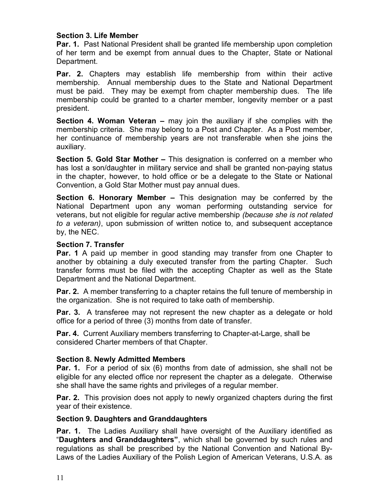#### Section 3. Life Member

**Par. 1.** Past National President shall be granted life membership upon completion of her term and be exempt from annual dues to the Chapter, State or National Department.

**Par. 2.** Chapters may establish life membership from within their active membership. Annual membership dues to the State and National Department must be paid. They may be exempt from chapter membership dues. The life membership could be granted to a charter member, longevity member or a past president.

Section 4. Woman Veteran – may join the auxiliary if she complies with the membership criteria. She may belong to a Post and Chapter. As a Post member, her continuance of membership years are not transferable when she joins the auxiliary.

Section 5. Gold Star Mother – This designation is conferred on a member who has lost a son/daughter in military service and shall be granted non-paying status in the chapter, however, to hold office or be a delegate to the State or National Convention, a Gold Star Mother must pay annual dues.

Section 6. Honorary Member – This designation may be conferred by the National Department upon any woman performing outstanding service for veterans, but not eligible for regular active membership (because she is not related to a veteran), upon submission of written notice to, and subsequent acceptance by, the NEC.

#### Section 7. Transfer

**Par. 1** A paid up member in good standing may transfer from one Chapter to another by obtaining a duly executed transfer from the parting Chapter. Such transfer forms must be filed with the accepting Chapter as well as the State Department and the National Department.

**Par. 2.** A member transferring to a chapter retains the full tenure of membership in the organization. She is not required to take oath of membership.

**Par. 3.** A transferee may not represent the new chapter as a delegate or hold office for a period of three (3) months from date of transfer.

Par. 4. Current Auxiliary members transferring to Chapter-at-Large, shall be considered Charter members of that Chapter.

#### Section 8. Newly Admitted Members

**Par. 1.** For a period of six (6) months from date of admission, she shall not be eligible for any elected office nor represent the chapter as a delegate. Otherwise she shall have the same rights and privileges of a regular member.

**Par. 2.** This provision does not apply to newly organized chapters during the first year of their existence.

#### Section 9. Daughters and Granddaughters

**Par. 1.** The Ladies Auxiliary shall have oversight of the Auxiliary identified as "Daughters and Granddaughters", which shall be governed by such rules and regulations as shall be prescribed by the National Convention and National By-Laws of the Ladies Auxiliary of the Polish Legion of American Veterans, U.S.A. as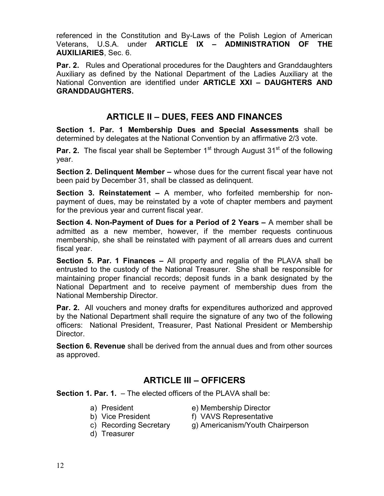referenced in the Constitution and By-Laws of the Polish Legion of American Veterans, U.S.A. under ARTICLE IX – ADMINISTRATION OF THE AUXILIARIES, Sec. 6.

**Par. 2.** Rules and Operational procedures for the Daughters and Granddaughters Auxiliary as defined by the National Department of the Ladies Auxiliary at the National Convention are identified under ARTICLE XXI – DAUGHTERS AND GRANDDAUGHTERS.

## ARTICLE II – DUES, FEES AND FINANCES

Section 1. Par. 1 Membership Dues and Special Assessments shall be determined by delegates at the National Convention by an affirmative 2/3 vote.

**Par. 2.** The fiscal year shall be September  $1<sup>st</sup>$  through August  $31<sup>st</sup>$  of the following year.

Section 2. Delinquent Member – whose dues for the current fiscal year have not been paid by December 31, shall be classed as delinquent.

Section 3. Reinstatement – A member, who forfeited membership for nonpayment of dues, may be reinstated by a vote of chapter members and payment for the previous year and current fiscal year.

Section 4. Non-Payment of Dues for a Period of 2 Years – A member shall be admitted as a new member, however, if the member requests continuous membership, she shall be reinstated with payment of all arrears dues and current fiscal year.

Section 5. Par. 1 Finances – All property and regalia of the PLAVA shall be entrusted to the custody of the National Treasurer. She shall be responsible for maintaining proper financial records; deposit funds in a bank designated by the National Department and to receive payment of membership dues from the National Membership Director.

**Par. 2.** All vouchers and money drafts for expenditures authorized and approved by the National Department shall require the signature of any two of the following officers: National President, Treasurer, Past National President or Membership Director.

Section 6. Revenue shall be derived from the annual dues and from other sources as approved.

## ARTICLE III – OFFICERS

Section 1. Par. 1. – The elected officers of the PLAVA shall be:

- 
- a) President e) Membership Director
- 
- b) Vice President f) VAVS Representative
- 
- d) Treasurer
- c) Recording Secretary g) Americanism/Youth Chairperson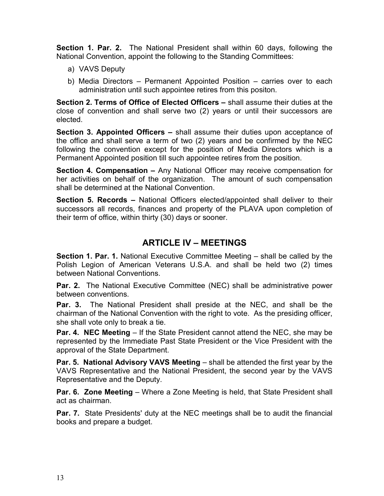Section 1. Par. 2. The National President shall within 60 days, following the National Convention, appoint the following to the Standing Committees:

- a) VAVS Deputy
- b) Media Directors Permanent Appointed Position carries over to each administration until such appointee retires from this positon.

Section 2. Terms of Office of Elected Officers – shall assume their duties at the close of convention and shall serve two (2) years or until their successors are elected.

Section 3. Appointed Officers – shall assume their duties upon acceptance of the office and shall serve a term of two (2) years and be confirmed by the NEC following the convention except for the position of Media Directors which is a Permanent Appointed position till such appointee retires from the position.

Section 4. Compensation – Any National Officer may receive compensation for her activities on behalf of the organization. The amount of such compensation shall be determined at the National Convention.

Section 5. Records – National Officers elected/appointed shall deliver to their successors all records, finances and property of the PLAVA upon completion of their term of office, within thirty (30) days or sooner.

### ARTICLE IV – MEETINGS

Section 1. Par. 1. National Executive Committee Meeting – shall be called by the Polish Legion of American Veterans U.S.A. and shall be held two (2) times between National Conventions.

Par. 2. The National Executive Committee (NEC) shall be administrative power between conventions.

Par. 3. The National President shall preside at the NEC, and shall be the chairman of the National Convention with the right to vote. As the presiding officer, she shall vote only to break a tie.

Par. 4. NEC Meeting – If the State President cannot attend the NEC, she may be represented by the Immediate Past State President or the Vice President with the approval of the State Department.

Par. 5. National Advisory VAVS Meeting – shall be attended the first year by the VAVS Representative and the National President, the second year by the VAVS Representative and the Deputy.

**Par. 6. Zone Meeting** – Where a Zone Meeting is held, that State President shall act as chairman.

**Par. 7.** State Presidents' duty at the NEC meetings shall be to audit the financial books and prepare a budget.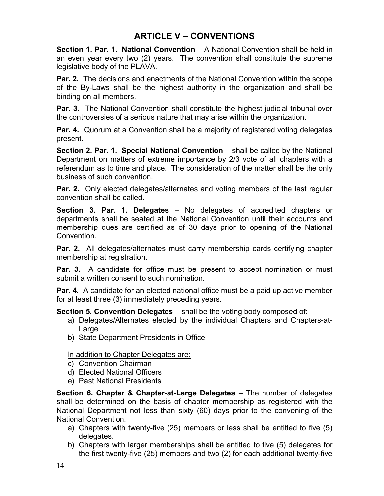## ARTICLE V – CONVENTIONS

Section 1. Par. 1. National Convention – A National Convention shall be held in an even year every two (2) years. The convention shall constitute the supreme legislative body of the PLAVA.

**Par. 2.** The decisions and enactments of the National Convention within the scope of the By-Laws shall be the highest authority in the organization and shall be binding on all members.

**Par. 3.** The National Convention shall constitute the highest judicial tribunal over the controversies of a serious nature that may arise within the organization.

**Par. 4.** Quorum at a Convention shall be a majority of registered voting delegates present.

Section 2. Par. 1. Special National Convention – shall be called by the National Department on matters of extreme importance by 2/3 vote of all chapters with a referendum as to time and place. The consideration of the matter shall be the only business of such convention.

**Par. 2.** Only elected delegates/alternates and voting members of the last regular convention shall be called.

Section 3. Par. 1. Delegates – No delegates of accredited chapters or departments shall be seated at the National Convention until their accounts and membership dues are certified as of 30 days prior to opening of the National Convention.

**Par. 2.** All delegates/alternates must carry membership cards certifying chapter membership at registration.

**Par. 3.** A candidate for office must be present to accept nomination or must submit a written consent to such nomination.

**Par. 4.** A candidate for an elected national office must be a paid up active member for at least three (3) immediately preceding years.

Section 5. Convention Delegates – shall be the voting body composed of:

- a) Delegates/Alternates elected by the individual Chapters and Chapters-at-Large
- b) State Department Presidents in Office

In addition to Chapter Delegates are:

- c) Convention Chairman
- d) Elected National Officers
- e) Past National Presidents

Section 6. Chapter & Chapter-at-Large Delegates – The number of delegates shall be determined on the basis of chapter membership as registered with the National Department not less than sixty (60) days prior to the convening of the National Convention.

- a) Chapters with twenty-five (25) members or less shall be entitled to five (5) delegates.
- b) Chapters with larger memberships shall be entitled to five (5) delegates for the first twenty-five (25) members and two (2) for each additional twenty-five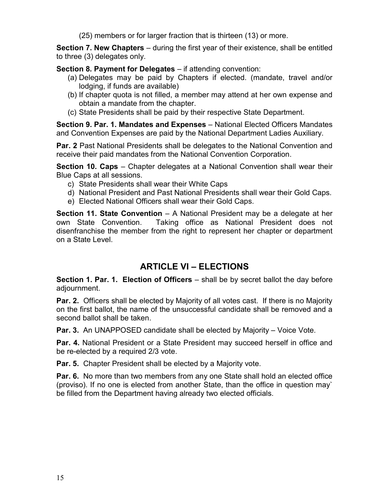(25) members or for larger fraction that is thirteen (13) or more.

Section 7. New Chapters – during the first year of their existence, shall be entitled to three (3) delegates only.

Section 8. Payment for Delegates – if attending convention:

- (a) Delegates may be paid by Chapters if elected. (mandate, travel and/or lodging, if funds are available)
- (b) If chapter quota is not filled, a member may attend at her own expense and obtain a mandate from the chapter.
- (c) State Presidents shall be paid by their respective State Department.

Section 9. Par. 1. Mandates and Expenses – National Elected Officers Mandates and Convention Expenses are paid by the National Department Ladies Auxiliary.

**Par. 2** Past National Presidents shall be delegates to the National Convention and receive their paid mandates from the National Convention Corporation.

Section 10. Caps – Chapter delegates at a National Convention shall wear their Blue Caps at all sessions.

- c) State Presidents shall wear their White Caps
- d) National President and Past National Presidents shall wear their Gold Caps.
- e) Elected National Officers shall wear their Gold Caps.

**Section 11. State Convention** – A National President may be a delegate at her own State Convention. Taking office as National President does not disenfranchise the member from the right to represent her chapter or department on a State Level.

### ARTICLE VI – ELECTIONS

**Section 1. Par. 1. Election of Officers**  $-$  shall be by secret ballot the day before adjournment.

Par. 2. Officers shall be elected by Majority of all votes cast. If there is no Majority on the first ballot, the name of the unsuccessful candidate shall be removed and a second ballot shall be taken.

Par. 3. An UNAPPOSED candidate shall be elected by Majority - Voice Vote.

Par. 4. National President or a State President may succeed herself in office and be re-elected by a required 2/3 vote.

Par. 5. Chapter President shall be elected by a Majority vote.

Par. 6. No more than two members from any one State shall hold an elected office (proviso). If no one is elected from another State, than the office in question may` be filled from the Department having already two elected officials.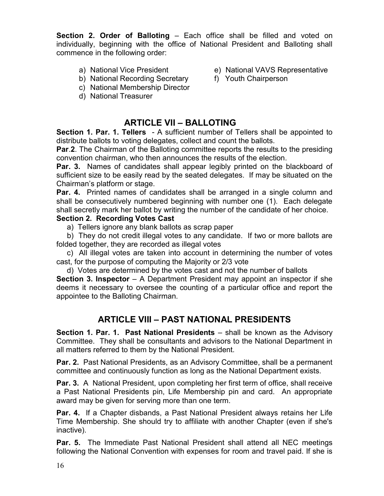Section 2. Order of Balloting – Each office shall be filled and voted on individually, beginning with the office of National President and Balloting shall commence in the following order:

- 
- a) National Vice President e) National VAVS Representative
- b) National Recording Secretary f) Youth Chairperson
- c) National Membership Director
- d) National Treasurer

## ARTICLE VII – BALLOTING

Section 1. Par. 1. Tellers - A sufficient number of Tellers shall be appointed to distribute ballots to voting delegates, collect and count the ballots.

**Par.2.** The Chairman of the Balloting committee reports the results to the presiding convention chairman, who then announces the results of the election.

**Par. 3.** Names of candidates shall appear legibly printed on the blackboard of sufficient size to be easily read by the seated delegates. If may be situated on the Chairman's platform or stage.

**Par. 4.** Printed names of candidates shall be arranged in a single column and shall be consecutively numbered beginning with number one (1). Each delegate shall secretly mark her ballot by writing the number of the candidate of her choice.

#### Section 2. Recording Votes Cast

a) Tellers ignore any blank ballots as scrap paper

 b) They do not credit illegal votes to any candidate. If two or more ballots are folded together, they are recorded as illegal votes

 c) All illegal votes are taken into account in determining the number of votes cast, for the purpose of computing the Majority or 2/3 vote

d) Votes are determined by the votes cast and not the number of ballots

**Section 3. Inspector**  $-$  A Department President may appoint an inspector if she deems it necessary to oversee the counting of a particular office and report the appointee to the Balloting Chairman.

## ARTICLE VIII – PAST NATIONAL PRESIDENTS

Section 1. Par. 1. Past National Presidents – shall be known as the Advisory Committee. They shall be consultants and advisors to the National Department in all matters referred to them by the National President.

Par. 2. Past National Presidents, as an Advisory Committee, shall be a permanent committee and continuously function as long as the National Department exists.

**Par. 3.** A National President, upon completing her first term of office, shall receive a Past National Presidents pin, Life Membership pin and card. An appropriate award may be given for serving more than one term.

Par. 4. If a Chapter disbands, a Past National President always retains her Life Time Membership. She should try to affiliate with another Chapter (even if she's inactive).

Par. 5. The Immediate Past National President shall attend all NEC meetings following the National Convention with expenses for room and travel paid. If she is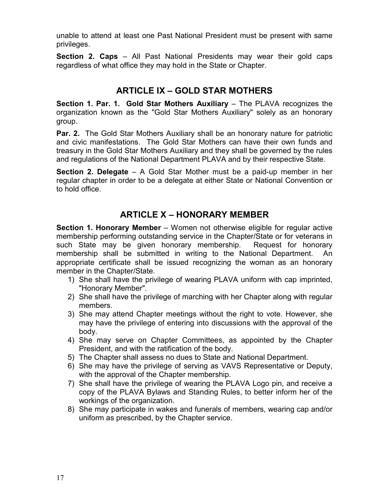unable to attend at least one Past National President must be present with same privileges.

Section 2. Caps – All Past National Presidents may wear their gold caps regardless of what office they may hold in the State or Chapter.

## ARTICLE IX – GOLD STAR MOTHERS

Section 1. Par. 1. Gold Star Mothers Auxiliary – The PLAVA recognizes the organization known as the "Gold Star Mothers Auxiliary" solely as an honorary group.

**Par. 2.** The Gold Star Mothers Auxiliary shall be an honorary nature for patriotic and civic manifestations. The Gold Star Mothers can have their own funds and treasury in the Gold Star Mothers Auxiliary and they shall be governed by the rules and regulations of the National Department PLAVA and by their respective State.

**Section 2. Delegate**  $-$  A Gold Star Mother must be a paid-up member in her regular chapter in order to be a delegate at either State or National Convention or to hold office.

## ARTICLE X – HONORARY MEMBER

Section 1. Honorary Member – Women not otherwise eligible for regular active membership performing outstanding service in the Chapter/State or for veterans in such State may be given honorary membership. Request for honorary membership shall be submitted in writing to the National Department. An appropriate certificate shall be issued recognizing the woman as an honorary member in the Chapter/State.

- 1) She shall have the privilege of wearing PLAVA uniform with cap imprinted, "Honorary Member".
- 2) She shall have the privilege of marching with her Chapter along with regular members.
- 3) She may attend Chapter meetings without the right to vote. However, she may have the privilege of entering into discussions with the approval of the body.
- 4) She may serve on Chapter Committees, as appointed by the Chapter President, and with the ratification of the body.
- 5) The Chapter shall assess no dues to State and National Department.
- 6) She may have the privilege of serving as VAVS Representative or Deputy, with the approval of the Chapter membership.
- 7) She shall have the privilege of wearing the PLAVA Logo pin, and receive a copy of the PLAVA Bylaws and Standing Rules, to better inform her of the workings of the organization.
- 8) She may participate in wakes and funerals of members, wearing cap and/or uniform as prescribed, by the Chapter service.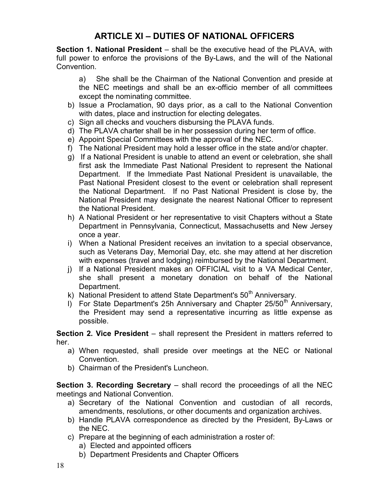## ARTICLE XI – DUTIES OF NATIONAL OFFICERS

Section 1. National President – shall be the executive head of the PLAVA, with full power to enforce the provisions of the By-Laws, and the will of the National **Convention** 

a) She shall be the Chairman of the National Convention and preside at the NEC meetings and shall be an ex-officio member of all committees except the nominating committee.

- b) Issue a Proclamation, 90 days prior, as a call to the National Convention with dates, place and instruction for electing delegates.
- c) Sign all checks and vouchers disbursing the PLAVA funds.
- d) The PLAVA charter shall be in her possession during her term of office.
- e) Appoint Special Committees with the approval of the NEC.
- f) The National President may hold a lesser office in the state and/or chapter.
- g) If a National President is unable to attend an event or celebration, she shall first ask the Immediate Past National President to represent the National Department. If the Immediate Past National President is unavailable, the Past National President closest to the event or celebration shall represent the National Department. If no Past National President is close by, the National President may designate the nearest National Officer to represent the National President.
- h) A National President or her representative to visit Chapters without a State Department in Pennsylvania, Connecticut, Massachusetts and New Jersey once a year.
- i) When a National President receives an invitation to a special observance, such as Veterans Day, Memorial Day, etc. she may attend at her discretion with expenses (travel and lodging) reimbursed by the National Department.
- j) If a National President makes an OFFICIAL visit to a VA Medical Center, she shall present a monetary donation on behalf of the National Department.
- k) National President to attend State Department's  $50<sup>th</sup>$  Anniversary.
- I) For State Department's 25h Anniversary and Chapter 25/50<sup>th</sup> Anniversary, the President may send a representative incurring as little expense as possible.

Section 2. Vice President – shall represent the President in matters referred to her.

- a) When requested, shall preside over meetings at the NEC or National Convention.
- b) Chairman of the President's Luncheon.

Section 3. Recording Secretary – shall record the proceedings of all the NEC meetings and National Convention.

- a) Secretary of the National Convention and custodian of all records, amendments, resolutions, or other documents and organization archives.
- b) Handle PLAVA correspondence as directed by the President, By-Laws or the NEC.
- c) Prepare at the beginning of each administration a roster of:
	- a) Elected and appointed officers
	- b) Department Presidents and Chapter Officers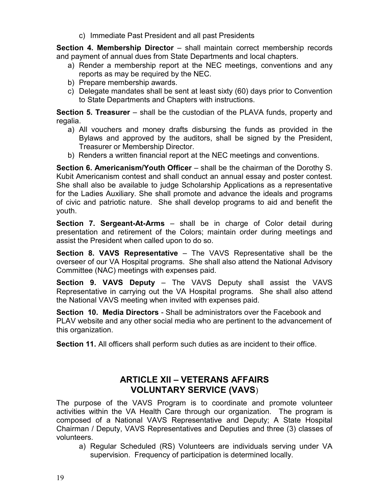c) Immediate Past President and all past Presidents

Section 4. Membership Director – shall maintain correct membership records and payment of annual dues from State Departments and local chapters.

- a) Render a membership report at the NEC meetings, conventions and any reports as may be required by the NEC.
- b) Prepare membership awards.
- c) Delegate mandates shall be sent at least sixty (60) days prior to Convention to State Departments and Chapters with instructions.

**Section 5. Treasurer** – shall be the custodian of the PLAVA funds, property and regalia.

- a) All vouchers and money drafts disbursing the funds as provided in the Bylaws and approved by the auditors, shall be signed by the President, Treasurer or Membership Director.
- b) Renders a written financial report at the NEC meetings and conventions.

Section 6. Americanism/Youth Officer – shall be the chairman of the Dorothy S. Kubit Americanism contest and shall conduct an annual essay and poster contest. She shall also be available to judge Scholarship Applications as a representative for the Ladies Auxiliary. She shall promote and advance the ideals and programs of civic and patriotic nature. She shall develop programs to aid and benefit the youth.

Section 7. Sergeant-At-Arms – shall be in charge of Color detail during presentation and retirement of the Colors; maintain order during meetings and assist the President when called upon to do so.

Section 8. VAVS Representative – The VAVS Representative shall be the overseer of our VA Hospital programs. She shall also attend the National Advisory Committee (NAC) meetings with expenses paid.

Section 9. VAVS Deputy – The VAVS Deputy shall assist the VAVS Representative in carrying out the VA Hospital programs. She shall also attend the National VAVS meeting when invited with expenses paid.

Section 10. Media Directors - Shall be administrators over the Facebook and PLAV website and any other social media who are pertinent to the advancement of this organization.

Section 11. All officers shall perform such duties as are incident to their office.

## ARTICLE XII – VETERANS AFFAIRS VOLUNTARY SERVICE (VAVS)

The purpose of the VAVS Program is to coordinate and promote volunteer activities within the VA Health Care through our organization. The program is composed of a National VAVS Representative and Deputy; A State Hospital Chairman / Deputy, VAVS Representatives and Deputies and three (3) classes of volunteers.

 a) Regular Scheduled (RS) Volunteers are individuals serving under VA supervision. Frequency of participation is determined locally.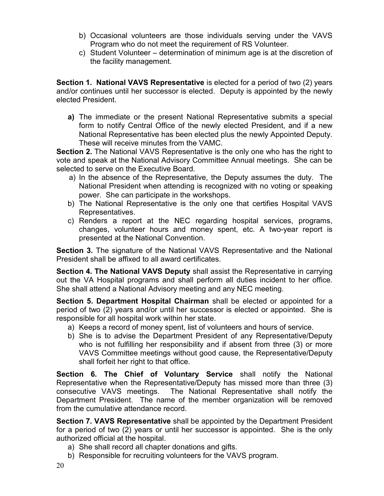- b) Occasional volunteers are those individuals serving under the VAVS Program who do not meet the requirement of RS Volunteer.
- c) Student Volunteer determination of minimum age is at the discretion of the facility management.

Section 1. National VAVS Representative is elected for a period of two (2) years and/or continues until her successor is elected. Deputy is appointed by the newly elected President.

a) The immediate or the present National Representative submits a special form to notify Central Office of the newly elected President, and if a new National Representative has been elected plus the newly Appointed Deputy. These will receive minutes from the VAMC.

Section 2. The National VAVS Representative is the only one who has the right to vote and speak at the National Advisory Committee Annual meetings. She can be selected to serve on the Executive Board.

- a) In the absence of the Representative, the Deputy assumes the duty. The National President when attending is recognized with no voting or speaking power. She can participate in the workshops.
- b) The National Representative is the only one that certifies Hospital VAVS Representatives.
- c) Renders a report at the NEC regarding hospital services, programs, changes, volunteer hours and money spent, etc. A two-year report is presented at the National Convention.

Section 3. The signature of the National VAVS Representative and the National President shall be affixed to all award certificates.

Section 4. The National VAVS Deputy shall assist the Representative in carrying out the VA Hospital programs and shall perform all duties incident to her office. She shall attend a National Advisory meeting and any NEC meeting.

Section 5. Department Hospital Chairman shall be elected or appointed for a period of two (2) years and/or until her successor is elected or appointed. She is responsible for all hospital work within her state.

- a) Keeps a record of money spent, list of volunteers and hours of service.
- b) She is to advise the Department President of any Representative/Deputy who is not fulfilling her responsibility and if absent from three (3) or more VAVS Committee meetings without good cause, the Representative/Deputy shall forfeit her right to that office.

Section 6. The Chief of Voluntary Service shall notify the National Representative when the Representative/Deputy has missed more than three (3) consecutive VAVS meetings. The National Representative shall notify the Department President. The name of the member organization will be removed from the cumulative attendance record.

Section 7. VAVS Representative shall be appointed by the Department President for a period of two (2) years or until her successor is appointed. She is the only authorized official at the hospital.

- a) She shall record all chapter donations and gifts.
- b) Responsible for recruiting volunteers for the VAVS program.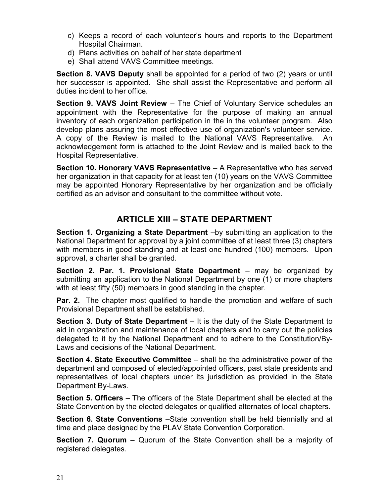- c) Keeps a record of each volunteer's hours and reports to the Department Hospital Chairman.
- d) Plans activities on behalf of her state department
- e) Shall attend VAVS Committee meetings.

Section 8. VAVS Deputy shall be appointed for a period of two (2) years or until her successor is appointed. She shall assist the Representative and perform all duties incident to her office.

Section 9. VAVS Joint Review - The Chief of Voluntary Service schedules an appointment with the Representative for the purpose of making an annual inventory of each organization participation in the in the volunteer program. Also develop plans assuring the most effective use of organization's volunteer service. A copy of the Review is mailed to the National VAVS Representative. An acknowledgement form is attached to the Joint Review and is mailed back to the Hospital Representative.

Section 10. Honorary VAVS Representative – A Representative who has served her organization in that capacity for at least ten (10) years on the VAVS Committee may be appointed Honorary Representative by her organization and be officially certified as an advisor and consultant to the committee without vote.

## ARTICLE XIII – STATE DEPARTMENT

Section 1. Organizing a State Department –by submitting an application to the National Department for approval by a joint committee of at least three (3) chapters with members in good standing and at least one hundred (100) members. Upon approval, a charter shall be granted.

Section 2. Par. 1. Provisional State Department – may be organized by submitting an application to the National Department by one (1) or more chapters with at least fifty (50) members in good standing in the chapter.

**Par. 2.** The chapter most qualified to handle the promotion and welfare of such Provisional Department shall be established.

**Section 3. Duty of State Department**  $-$  It is the duty of the State Department to aid in organization and maintenance of local chapters and to carry out the policies delegated to it by the National Department and to adhere to the Constitution/By-Laws and decisions of the National Department.

Section 4. State Executive Committee – shall be the administrative power of the department and composed of elected/appointed officers, past state presidents and representatives of local chapters under its jurisdiction as provided in the State Department By-Laws.

Section 5. Officers – The officers of the State Department shall be elected at the State Convention by the elected delegates or qualified alternates of local chapters.

Section 6. State Conventions –State convention shall be held biennially and at time and place designed by the PLAV State Convention Corporation.

**Section 7. Quorum** – Quorum of the State Convention shall be a majority of registered delegates.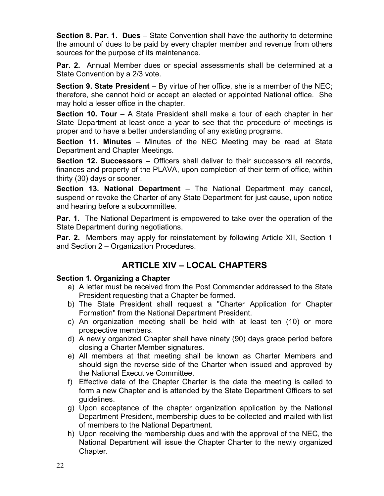Section 8. Par. 1. Dues – State Convention shall have the authority to determine the amount of dues to be paid by every chapter member and revenue from others sources for the purpose of its maintenance.

Par. 2. Annual Member dues or special assessments shall be determined at a State Convention by a 2/3 vote.

Section 9. State President – By virtue of her office, she is a member of the NEC; therefore, she cannot hold or accept an elected or appointed National office. She may hold a lesser office in the chapter.

Section 10. Tour – A State President shall make a tour of each chapter in her State Department at least once a year to see that the procedure of meetings is proper and to have a better understanding of any existing programs.

Section 11. Minutes – Minutes of the NEC Meeting may be read at State Department and Chapter Meetings.

Section 12. Successors – Officers shall deliver to their successors all records, finances and property of the PLAVA, upon completion of their term of office, within thirty (30) days or sooner.

Section 13. National Department – The National Department may cancel, suspend or revoke the Charter of any State Department for just cause, upon notice and hearing before a subcommittee.

**Par. 1.** The National Department is empowered to take over the operation of the State Department during negotiations.

Par. 2. Members may apply for reinstatement by following Article XII, Section 1 and Section 2 – Organization Procedures.

## ARTICLE XIV – LOCAL CHAPTERS

#### Section 1. Organizing a Chapter

- a) A letter must be received from the Post Commander addressed to the State President requesting that a Chapter be formed.
- b) The State President shall request a "Charter Application for Chapter Formation" from the National Department President.
- c) An organization meeting shall be held with at least ten (10) or more prospective members.
- d) A newly organized Chapter shall have ninety (90) days grace period before closing a Charter Member signatures.
- e) All members at that meeting shall be known as Charter Members and should sign the reverse side of the Charter when issued and approved by the National Executive Committee.
- f) Effective date of the Chapter Charter is the date the meeting is called to form a new Chapter and is attended by the State Department Officers to set guidelines.
- g) Upon acceptance of the chapter organization application by the National Department President, membership dues to be collected and mailed with list of members to the National Department.
- h) Upon receiving the membership dues and with the approval of the NEC, the National Department will issue the Chapter Charter to the newly organized Chapter.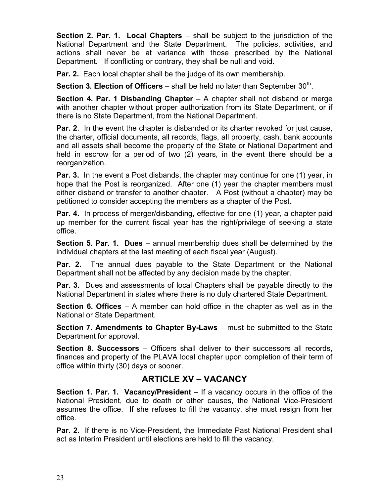**Section 2. Par. 1. Local Chapters** – shall be subject to the jurisdiction of the National Department and the State Department. The policies, activities, and actions shall never be at variance with those prescribed by the National Department. If conflicting or contrary, they shall be null and void.

**Par. 2.** Each local chapter shall be the judge of its own membership.

**Section 3. Election of Officers** – shall be held no later than September 30<sup>th</sup>.

**Section 4. Par. 1 Disbanding Chapter**  $-$  A chapter shall not disband or merge with another chapter without proper authorization from its State Department, or if there is no State Department, from the National Department.

**Par. 2.** In the event the chapter is disbanded or its charter revoked for just cause, the charter, official documents, all records, flags, all property, cash, bank accounts and all assets shall become the property of the State or National Department and held in escrow for a period of two (2) years, in the event there should be a reorganization.

Par. 3. In the event a Post disbands, the chapter may continue for one (1) year, in hope that the Post is reorganized. After one (1) year the chapter members must either disband or transfer to another chapter. A Post (without a chapter) may be petitioned to consider accepting the members as a chapter of the Post.

**Par. 4.** In process of merger/disbanding, effective for one (1) year, a chapter paid up member for the current fiscal year has the right/privilege of seeking a state office.

Section 5. Par. 1. Dues – annual membership dues shall be determined by the individual chapters at the last meeting of each fiscal year (August).

**Par. 2.** The annual dues payable to the State Department or the National Department shall not be affected by any decision made by the chapter.

**Par. 3.** Dues and assessments of local Chapters shall be payable directly to the National Department in states where there is no duly chartered State Department.

**Section 6. Offices** – A member can hold office in the chapter as well as in the National or State Department.

Section 7. Amendments to Chapter By-Laws – must be submitted to the State Department for approval.

Section 8. Successors – Officers shall deliver to their successors all records, finances and property of the PLAVA local chapter upon completion of their term of office within thirty (30) days or sooner.

## ARTICLE XV – VACANCY

Section 1. Par. 1. Vacancy/President – If a vacancy occurs in the office of the National President, due to death or other causes, the National Vice-President assumes the office. If she refuses to fill the vacancy, she must resign from her office.

Par. 2. If there is no Vice-President, the Immediate Past National President shall act as Interim President until elections are held to fill the vacancy.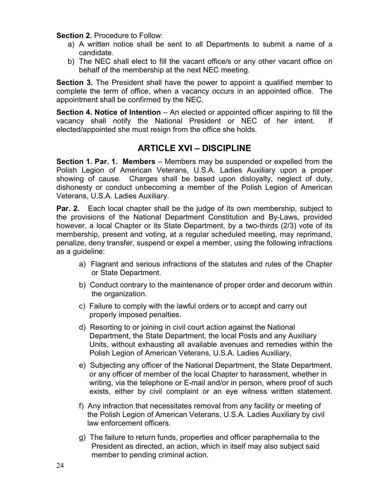Section 2. Procedure to Follow:

- a) A written notice shall be sent to all Departments to submit a name of a candidate.
- b) The NEC shall elect to fill the vacant office/s or any other vacant office on behalf of the membership at the next NEC meeting.

Section 3. The President shall have the power to appoint a qualified member to complete the term of office, when a vacancy occurs in an appointed office. The appointment shall be confirmed by the NEC.

Section 4. Notice of Intention – An elected or appointed officer aspiring to fill the vacancy shall notify the National President or NEC of her intent. If elected/appointed she must resign from the office she holds.

### ARTICLE XVI – DISCIPLINE

Section 1. Par. 1. Members – Members may be suspended or expelled from the Polish Legion of American Veterans, U.S.A. Ladies Auxiliary upon a proper showing of cause. Charges shall be based upon disloyalty, neglect of duty, dishonesty or conduct unbecoming a member of the Polish Legion of American Veterans, U.S.A. Ladies Auxiliary.

**Par. 2.** Each local chapter shall be the judge of its own membership, subject to the provisions of the National Department Constitution and By-Laws, provided however, a local Chapter or its State Department, by a two-thirds (2/3) vote of its membership, present and voting, at a regular scheduled meeting, may reprimand, penalize, deny transfer, suspend or expel a member, using the following infractions as a guideline:

- a) Flagrant and serious infractions of the statutes and rules of the Chapter or State Department.
- b) Conduct contrary to the maintenance of proper order and decorum within the organization.
- c) Failure to comply with the lawful orders or to accept and carry out properly imposed penalties.
- d) Resorting to or joining in civil court action against the National Department, the State Department, the local Posts and any Auxiliary Units, without exhausting all available avenues and remedies within the Polish Legion of American Veterans, U.S.A. Ladies Auxiliary,
- e) Subjecting any officer of the National Department, the State Department, or any officer of member of the local Chapter to harassment, whether in writing, via the telephone or E-mail and/or in person, where proof of such exists, either by civil complaint or an eye witness written statement.
- f) Any infraction that necessitates removal from any facility or meeting of the Polish Legion of American Veterans, U.S.A. Ladies Auxiliary by civil law enforcement officers.
- g) The failure to return funds, properties and officer paraphernalia to the President as directed, an action, which in itself may also subject said member to pending criminal action.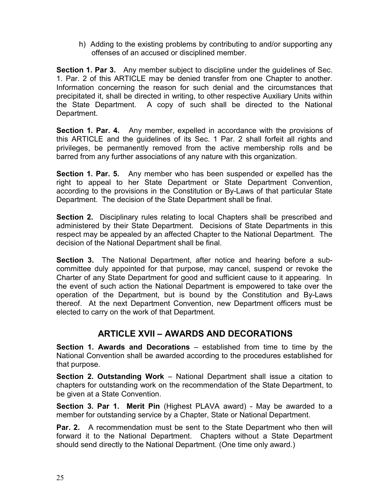h) Adding to the existing problems by contributing to and/or supporting any offenses of an accused or disciplined member.

Section 1. Par 3. Any member subject to discipline under the guidelines of Sec. 1. Par. 2 of this ARTICLE may be denied transfer from one Chapter to another. Information concerning the reason for such denial and the circumstances that precipitated it, shall be directed in writing, to other respective Auxiliary Units within the State Department. A copy of such shall be directed to the National Department.

Section 1. Par. 4. Any member, expelled in accordance with the provisions of this ARTICLE and the guidelines of its Sec. 1 Par. 2 shall forfeit all rights and privileges, be permanently removed from the active membership rolls and be barred from any further associations of any nature with this organization.

**Section 1. Par. 5.** Any member who has been suspended or expelled has the right to appeal to her State Department or State Department Convention, according to the provisions in the Constitution or By-Laws of that particular State Department. The decision of the State Department shall be final.

Section 2. Disciplinary rules relating to local Chapters shall be prescribed and administered by their State Department. Decisions of State Departments in this respect may be appealed by an affected Chapter to the National Department. The decision of the National Department shall be final.

Section 3. The National Department, after notice and hearing before a subcommittee duly appointed for that purpose, may cancel, suspend or revoke the Charter of any State Department for good and sufficient cause to it appearing. In the event of such action the National Department is empowered to take over the operation of the Department, but is bound by the Constitution and By-Laws thereof. At the next Department Convention, new Department officers must be elected to carry on the work of that Department.

## ARTICLE XVII – AWARDS AND DECORATIONS

Section 1. Awards and Decorations – established from time to time by the National Convention shall be awarded according to the procedures established for that purpose.

Section 2. Outstanding Work – National Department shall issue a citation to chapters for outstanding work on the recommendation of the State Department, to be given at a State Convention.

Section 3. Par 1. Merit Pin (Highest PLAVA award) - May be awarded to a member for outstanding service by a Chapter, State or National Department.

**Par. 2.** A recommendation must be sent to the State Department who then will forward it to the National Department. Chapters without a State Department should send directly to the National Department. (One time only award.)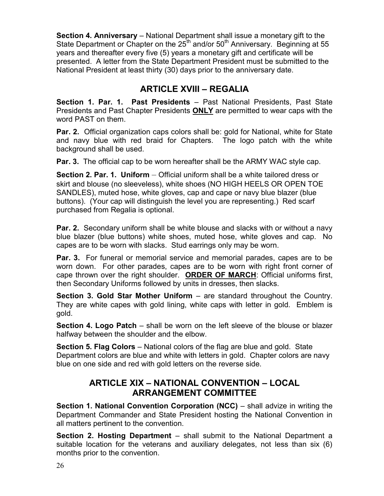Section 4. Anniversary – National Department shall issue a monetary gift to the State Department or Chapter on the  $25<sup>th</sup>$  and/or  $50<sup>th</sup>$  Anniversary. Beginning at 55 years and thereafter every five (5) years a monetary gift and certificate will be presented. A letter from the State Department President must be submitted to the National President at least thirty (30) days prior to the anniversary date.

## ARTICLE XVIII – REGALIA

Section 1. Par. 1. Past Presidents – Past National Presidents, Past State Presidents and Past Chapter Presidents ONLY are permitted to wear caps with the word PAST on them.

**Par. 2.** Official organization caps colors shall be: gold for National, white for State and navy blue with red braid for Chapters. The logo patch with the white background shall be used.

Par. 3. The official cap to be worn hereafter shall be the ARMY WAC style cap.

Section 2. Par. 1. Uniform – Official uniform shall be a white tailored dress or skirt and blouse (no sleeveless), white shoes (NO HIGH HEELS OR OPEN TOE SANDLES), muted hose, white gloves, cap and cape or navy blue blazer (blue buttons). (Your cap will distinguish the level you are representing.) Red scarf purchased from Regalia is optional.

Par. 2. Secondary uniform shall be white blouse and slacks with or without a navy blue blazer (blue buttons) white shoes, muted hose, white gloves and cap. No capes are to be worn with slacks. Stud earrings only may be worn.

**Par. 3.** For funeral or memorial service and memorial parades, capes are to be worn down. For other parades, capes are to be worn with right front corner of cape thrown over the right shoulder. ORDER OF MARCH: Official uniforms first, then Secondary Uniforms followed by units in dresses, then slacks.

Section 3. Gold Star Mother Uniform – are standard throughout the Country. They are white capes with gold lining, white caps with letter in gold. Emblem is gold.

Section 4. Logo Patch – shall be worn on the left sleeve of the blouse or blazer halfway between the shoulder and the elbow.

Section 5. Flag Colors – National colors of the flag are blue and gold. State Department colors are blue and white with letters in gold. Chapter colors are navy blue on one side and red with gold letters on the reverse side.

## ARTICLE XIX – NATIONAL CONVENTION – LOCAL ARRANGEMENT COMMITTEE

Section 1. National Convention Corporation (NCC) – shall advize in writing the Department Commander and State President hosting the National Convention in all matters pertinent to the convention.

Section 2. Hosting Department – shall submit to the National Department a suitable location for the veterans and auxiliary delegates, not less than six (6) months prior to the convention.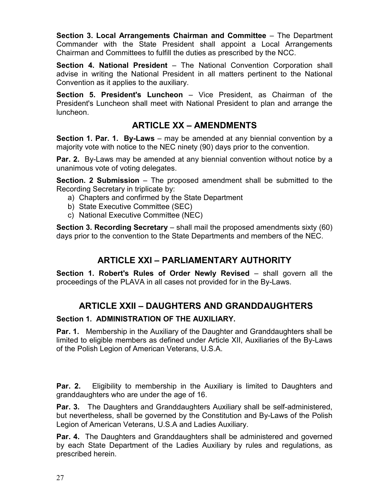Section 3. Local Arrangements Chairman and Committee – The Department Commander with the State President shall appoint a Local Arrangements Chairman and Committees to fulfill the duties as prescribed by the NCC.

Section 4. National President – The National Convention Corporation shall advise in writing the National President in all matters pertinent to the National Convention as it applies to the auxiliary.

Section 5. President's Luncheon – Vice President, as Chairman of the President's Luncheon shall meet with National President to plan and arrange the luncheon.

## ARTICLE XX – AMENDMENTS

**Section 1. Par. 1. By-Laws** – may be amended at any biennial convention by a majority vote with notice to the NEC ninety (90) days prior to the convention.

Par. 2. By-Laws may be amended at any biennial convention without notice by a unanimous vote of voting delegates.

Section. 2 Submission – The proposed amendment shall be submitted to the Recording Secretary in triplicate by:

- a) Chapters and confirmed by the State Department
- b) State Executive Committee (SEC)
- c) National Executive Committee (NEC)

Section 3. Recording Secretary – shall mail the proposed amendments sixty (60) days prior to the convention to the State Departments and members of the NEC.

## ARTICLE XXI – PARLIAMENTARY AUTHORITY

Section 1. Robert's Rules of Order Newly Revised – shall govern all the proceedings of the PLAVA in all cases not provided for in the By-Laws.

## ARTICLE XXII – DAUGHTERS AND GRANDDAUGHTERS

### Section 1. ADMINISTRATION OF THE AUXILIARY.

Par. 1. Membership in the Auxiliary of the Daughter and Granddaughters shall be limited to eligible members as defined under Article XII, Auxiliaries of the By-Laws of the Polish Legion of American Veterans, U.S.A.

**Par. 2.** Eligibility to membership in the Auxiliary is limited to Daughters and granddaughters who are under the age of 16.

Par. 3. The Daughters and Granddaughters Auxiliary shall be self-administered, but nevertheless, shall be governed by the Constitution and By-Laws of the Polish Legion of American Veterans, U.S.A and Ladies Auxiliary.

**Par. 4.** The Daughters and Granddaughters shall be administered and governed by each State Department of the Ladies Auxiliary by rules and regulations, as prescribed herein.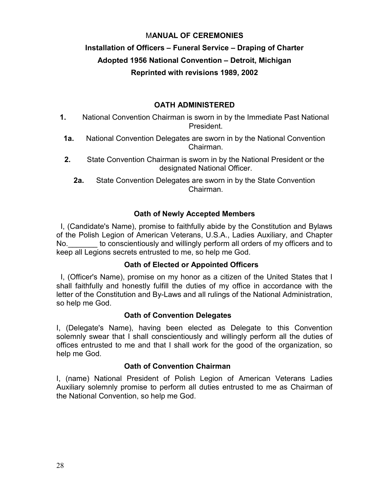#### MANUAL OF CEREMONIES

## Installation of Officers – Funeral Service – Draping of Charter Adopted 1956 National Convention – Detroit, Michigan Reprinted with revisions 1989, 2002

#### OATH ADMINISTERED

- 1. National Convention Chairman is sworn in by the Immediate Past National President.
- 1a. National Convention Delegates are sworn in by the National Convention Chairman.
- 2. State Convention Chairman is sworn in by the National President or the designated National Officer.

2a. State Convention Delegates are sworn in by the State Convention Chairman.

#### Oath of Newly Accepted Members

 I, (Candidate's Name), promise to faithfully abide by the Constitution and Bylaws of the Polish Legion of American Veterans, U.S.A., Ladies Auxiliary, and Chapter No. The conscientiously and willingly perform all orders of my officers and to keep all Legions secrets entrusted to me, so help me God.

#### Oath of Elected or Appointed Officers

 I, (Officer's Name), promise on my honor as a citizen of the United States that I shall faithfully and honestly fulfill the duties of my office in accordance with the letter of the Constitution and By-Laws and all rulings of the National Administration, so help me God.

#### Oath of Convention Delegates

I, (Delegate's Name), having been elected as Delegate to this Convention solemnly swear that I shall conscientiously and willingly perform all the duties of offices entrusted to me and that I shall work for the good of the organization, so help me God.

#### Oath of Convention Chairman

I, (name) National President of Polish Legion of American Veterans Ladies Auxiliary solemnly promise to perform all duties entrusted to me as Chairman of the National Convention, so help me God.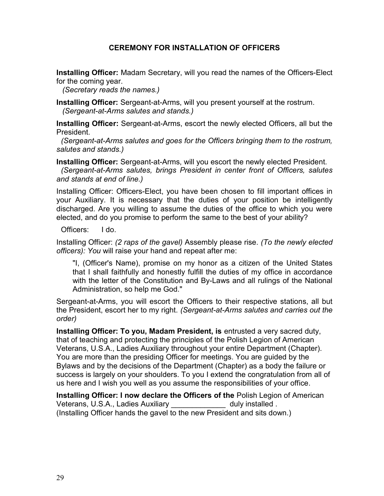#### CEREMONY FOR INSTALLATION OF OFFICERS

Installing Officer: Madam Secretary, will you read the names of the Officers-Elect for the coming year.

(Secretary reads the names.)

**Installing Officer:** Sergeant-at-Arms, will you present yourself at the rostrum. (Sergeant-at-Arms salutes and stands.)

Installing Officer: Sergeant-at-Arms, escort the newly elected Officers, all but the President.

(Sergeant-at-Arms salutes and goes for the Officers bringing them to the rostrum, salutes and stands.)

Installing Officer: Sergeant-at-Arms, will you escort the newly elected President. (Sergeant-at-Arms salutes, brings President in center front of Officers, salutes and stands at end of line.)

Installing Officer: Officers-Elect, you have been chosen to fill important offices in your Auxiliary. It is necessary that the duties of your position be intelligently discharged. Are you willing to assume the duties of the office to which you were elected, and do you promise to perform the same to the best of your ability?

Officers: I do.

Installing Officer: (2 raps of the gavel) Assembly please rise. (To the newly elected officers): You will raise your hand and repeat after me:

"I, (Officer's Name), promise on my honor as a citizen of the United States that I shall faithfully and honestly fulfill the duties of my office in accordance with the letter of the Constitution and By-Laws and all rulings of the National Administration, so help me God."

Sergeant-at-Arms, you will escort the Officers to their respective stations, all but the President, escort her to my right. (Sergeant-at-Arms salutes and carries out the order)

Installing Officer: To you, Madam President, is entrusted a very sacred duty, that of teaching and protecting the principles of the Polish Legion of American Veterans, U.S.A., Ladies Auxiliary throughout your entire Department (Chapter). You are more than the presiding Officer for meetings. You are guided by the Bylaws and by the decisions of the Department (Chapter) as a body the failure or success is largely on your shoulders. To you I extend the congratulation from all of us here and I wish you well as you assume the responsibilities of your office.

Installing Officer: I now declare the Officers of the Polish Legion of American Veterans, U.S.A., Ladies Auxiliary and all ally installed . (Installing Officer hands the gavel to the new President and sits down.)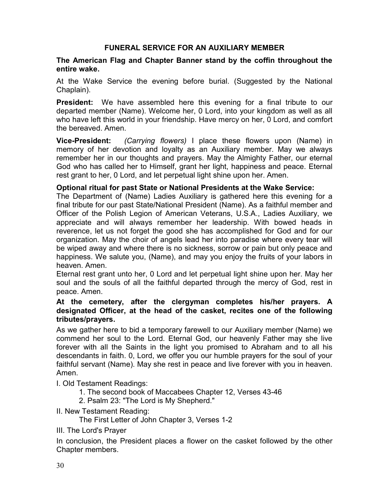#### FUNERAL SERVICE FOR AN AUXILIARY MEMBER

#### The American Flag and Chapter Banner stand by the coffin throughout the entire wake.

At the Wake Service the evening before burial. (Suggested by the National Chaplain).

President: We have assembled here this evening for a final tribute to our departed member (Name). Welcome her, 0 Lord, into your kingdom as well as all who have left this world in your friendship. Have mercy on her, 0 Lord, and comfort the bereaved. Amen.

**Vice-President:** (Carrying flowers) I place these flowers upon (Name) in memory of her devotion and loyalty as an Auxiliary member. May we always remember her in our thoughts and prayers. May the Almighty Father, our eternal God who has called her to Himself, grant her light, happiness and peace. Eternal rest grant to her, 0 Lord, and let perpetual light shine upon her. Amen.

#### Optional ritual for past State or National Presidents at the Wake Service:

The Department of (Name) Ladies Auxiliary is gathered here this evening for a final tribute for our past State/National President (Name). As a faithful member and Officer of the Polish Legion of American Veterans, U.S.A., Ladies Auxiliary, we appreciate and will always remember her leadership. With bowed heads in reverence, let us not forget the good she has accomplished for God and for our organization. May the choir of angels lead her into paradise where every tear will be wiped away and where there is no sickness, sorrow or pain but only peace and happiness. We salute you, (Name), and may you enjoy the fruits of your labors in heaven. Amen.

Eternal rest grant unto her, 0 Lord and let perpetual light shine upon her. May her soul and the souls of all the faithful departed through the mercy of God, rest in peace. Amen.

#### At the cemetery, after the clergyman completes his/her prayers. A designated Officer, at the head of the casket, recites one of the following tributes/prayers.

As we gather here to bid a temporary farewell to our Auxiliary member (Name) we commend her soul to the Lord. Eternal God, our heavenly Father may she live forever with all the Saints in the light you promised to Abraham and to all his descendants in faith. 0, Lord, we offer you our humble prayers for the soul of your faithful servant (Name). May she rest in peace and live forever with you in heaven. Amen.

I. Old Testament Readings:

1. The second book of Maccabees Chapter 12, Verses 43-46

2. Psalm 23: "The Lord is My Shepherd."

II. New Testament Reading:

The First Letter of John Chapter 3, Verses 1-2

III. The Lord's Prayer

In conclusion, the President places a flower on the casket followed by the other Chapter members.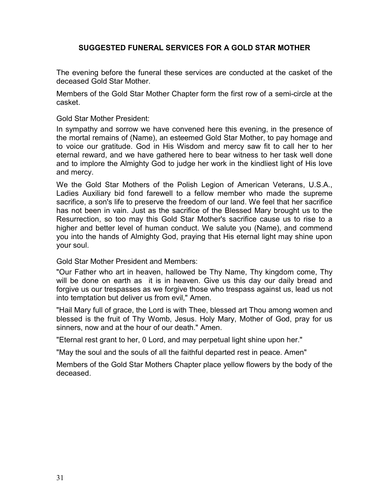#### SUGGESTED FUNERAL SERVICES FOR A GOLD STAR MOTHER

The evening before the funeral these services are conducted at the casket of the deceased Gold Star Mother.

Members of the Gold Star Mother Chapter form the first row of a semi-circle at the casket.

Gold Star Mother President:

In sympathy and sorrow we have convened here this evening, in the presence of the mortal remains of (Name), an esteemed Gold Star Mother, to pay homage and to voice our gratitude. God in His Wisdom and mercy saw fit to call her to her eternal reward, and we have gathered here to bear witness to her task well done and to implore the Almighty God to judge her work in the kindliest light of His love and mercy.

We the Gold Star Mothers of the Polish Legion of American Veterans, U.S.A., Ladies Auxiliary bid fond farewell to a fellow member who made the supreme sacrifice, a son's life to preserve the freedom of our land. We feel that her sacrifice has not been in vain. Just as the sacrifice of the Blessed Mary brought us to the Resurrection, so too may this Gold Star Mother's sacrifice cause us to rise to a higher and better level of human conduct. We salute you (Name), and commend you into the hands of Almighty God, praying that His eternal light may shine upon your soul.

Gold Star Mother President and Members:

"Our Father who art in heaven, hallowed be Thy Name, Thy kingdom come, Thy will be done on earth as it is in heaven. Give us this day our daily bread and forgive us our trespasses as we forgive those who trespass against us, lead us not into temptation but deliver us from evil," Amen.

"Hail Mary full of grace, the Lord is with Thee, blessed art Thou among women and blessed is the fruit of Thy Womb, Jesus. Holy Mary, Mother of God, pray for us sinners, now and at the hour of our death." Amen.

"Eternal rest grant to her, 0 Lord, and may perpetual light shine upon her."

"May the soul and the souls of all the faithful departed rest in peace. Amen"

Members of the Gold Star Mothers Chapter place yellow flowers by the body of the deceased.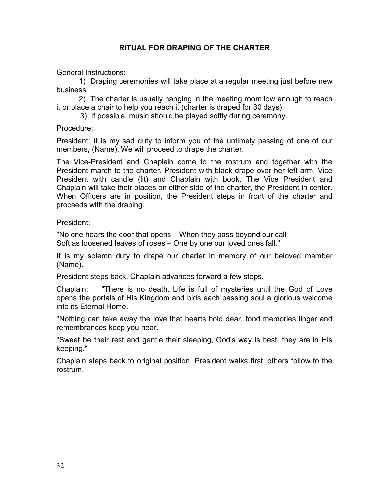#### RITUAL FOR DRAPING OF THE CHARTER

General Instructions:

 1) Draping ceremonies will take place at a regular meeting just before new business.

 2) The charter is usually hanging in the meeting room low enough to reach it or place a chair to help you reach it (charter is draped for 30 days).

3) If possible, music should be played softly during ceremony.

Procedure:

President: It is my sad duty to inform you of the untimely passing of one of our members, (Name). We will proceed to drape the charter.

The Vice-President and Chaplain come to the rostrum and together with the President march to the charter, President with black drape over her left arm, Vice President with candle (lit) and Chaplain with book. The Vice President and Chaplain will take their places on either side of the charter, the President in center. When Officers are in position, the President steps in front of the charter and proceeds with the draping.

President:

"No one hears the door that opens – When they pass beyond our call Soft as loosened leaves of roses – One by one our loved ones fall."

It is my solemn duty to drape our charter in memory of our beloved member (Name).

President steps back. Chaplain advances forward a few steps.

Chaplain: "There is no death. Life is full of mysteries until the God of Love opens the portals of His Kingdom and bids each passing soul a glorious welcome into its Eternal Home.

"Nothing can take away the love that hearts hold dear, fond memories linger and remembrances keep you near.

"Sweet be their rest and gentle their sleeping, God's way is best, they are in His keeping."

Chaplain steps back to original position. President walks first, others follow to the rostrum.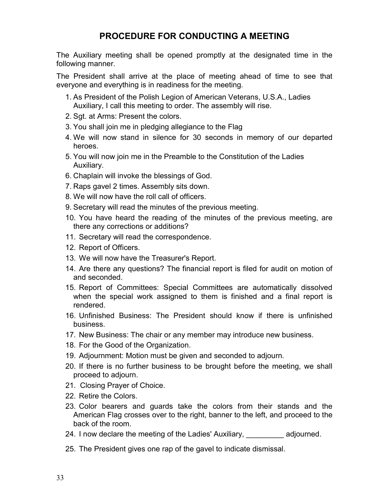## PROCEDURE FOR CONDUCTING A MEETING

The Auxiliary meeting shall be opened promptly at the designated time in the following manner.

The President shall arrive at the place of meeting ahead of time to see that everyone and everything is in readiness for the meeting.

- 1. As President of the Polish Legion of American Veterans, U.S.A., Ladies Auxiliary, I call this meeting to order. The assembly will rise.
- 2. Sgt. at Arms: Present the colors.
- 3. You shall join me in pledging allegiance to the Flag
- 4. We will now stand in silence for 30 seconds in memory of our departed heroes.
- 5. You will now join me in the Preamble to the Constitution of the Ladies Auxiliary.
- 6. Chaplain will invoke the blessings of God.
- 7. Raps gavel 2 times. Assembly sits down.
- 8. We will now have the roll call of officers.
- 9. Secretary will read the minutes of the previous meeting.
- 10. You have heard the reading of the minutes of the previous meeting, are there any corrections or additions?
- 11. Secretary will read the correspondence.
- 12. Report of Officers.
- 13. We will now have the Treasurer's Report.
- 14. Are there any questions? The financial report is filed for audit on motion of and seconded.
- 15. Report of Committees: Special Committees are automatically dissolved when the special work assigned to them is finished and a final report is rendered.
- 16. Unfinished Business: The President should know if there is unfinished business.
- 17. New Business: The chair or any member may introduce new business.
- 18. For the Good of the Organization.
- 19. Adjournment: Motion must be given and seconded to adjourn.
- 20. If there is no further business to be brought before the meeting, we shall proceed to adjourn.
- 21. Closing Prayer of Choice.
- 22. Retire the Colors.
- 23. Color bearers and guards take the colors from their stands and the American Flag crosses over to the right, banner to the left, and proceed to the back of the room.
- 24. I now declare the meeting of the Ladies' Auxiliary, and adjourned.
- 25. The President gives one rap of the gavel to indicate dismissal.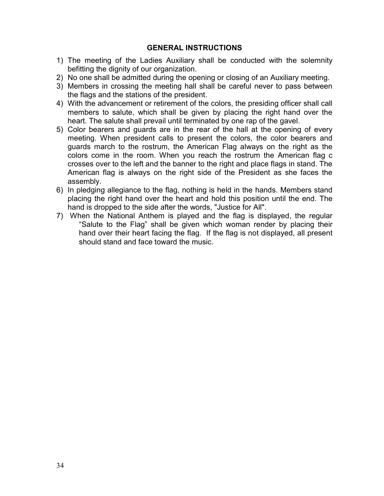#### GENERAL INSTRUCTIONS

- 1) The meeting of the Ladies Auxiliary shall be conducted with the solemnity befitting the dignity of our organization.
- 2) No one shall be admitted during the opening or closing of an Auxiliary meeting.
- 3) Members in crossing the meeting hall shall be careful never to pass between the flags and the stations of the president.
- 4) With the advancement or retirement of the colors, the presiding officer shall call members to salute, which shall be given by placing the right hand over the heart. The salute shall prevail until terminated by one rap of the gavel.
- 5) Color bearers and guards are in the rear of the hall at the opening of every meeting. When president calls to present the colors, the color bearers and guards march to the rostrum, the American Flag always on the right as the colors come in the room. When you reach the rostrum the American flag c crosses over to the left and the banner to the right and place flags in stand. The American flag is always on the right side of the President as she faces the assembly.
- 6) In pledging allegiance to the flag, nothing is held in the hands. Members stand placing the right hand over the heart and hold this position until the end. The hand is dropped to the side after the words, "Justice for All".
- 7) When the National Anthem is played and the flag is displayed, the regular "Salute to the Flag" shall be given which woman render by placing their hand over their heart facing the flag. If the flag is not displayed, all present should stand and face toward the music.